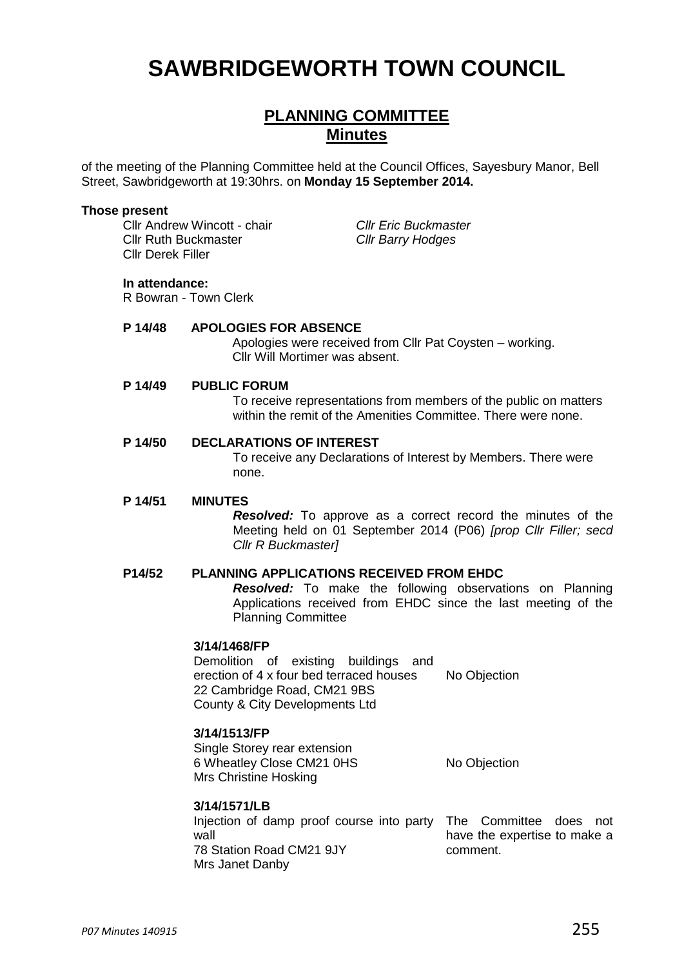# **SAWBRIDGEWORTH TOWN COUNCIL**

### **PLANNING COMMITTEE Minutes**

of the meeting of the Planning Committee held at the Council Offices, Sayesbury Manor, Bell Street, Sawbridgeworth at 19:30hrs. on **Monday 15 September 2014.**

#### **Those present**

Cllr Andrew Wincott - chair *Cllr Eric Buckmaster* Cllr Ruth Buckmaster *Cllr Barry Hodges* Cllr Derek Filler

#### **In attendance:**

R Bowran - Town Clerk

#### **P 14/48 APOLOGIES FOR ABSENCE**

Apologies were received from Cllr Pat Coysten – working. Cllr Will Mortimer was absent.

#### **P 14/49 PUBLIC FORUM**

To receive representations from members of the public on matters within the remit of the Amenities Committee. There were none.

#### **P 14/50 DECLARATIONS OF INTEREST**

To receive any Declarations of Interest by Members. There were none.

#### **P 14/51 MINUTES**

*Resolved:* To approve as a correct record the minutes of the Meeting held on 01 September 2014 (P06) *[prop Cllr Filler; secd Cllr R Buckmaster]*

#### **P14/52 PLANNING APPLICATIONS RECEIVED FROM EHDC**

*Resolved:* To make the following observations on Planning Applications received from EHDC since the last meeting of the Planning Committee

#### **3/14/1468/FP**

Demolition of existing buildings and erection of 4 x four bed terraced houses 22 Cambridge Road, CM21 9BS County & City Developments Ltd No Objection

#### **3/14/1513/FP**

Single Storey rear extension 6 Wheatley Close CM21 0HS Mrs Christine Hosking No Objection

#### **3/14/1571/LB**

Injection of damp proof course into party The Committee does not wall 78 Station Road CM21 9JY Mrs Janet Danby

have the expertise to make a comment.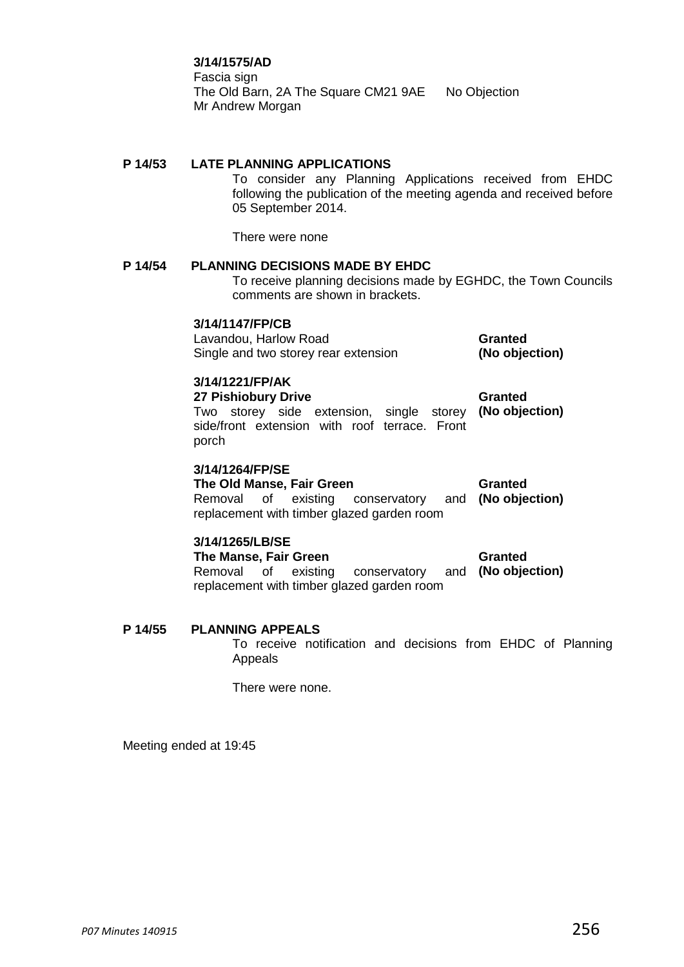#### **3/14/1575/AD**

Fascia sign The Old Barn, 2A The Square CM21 9AE No Objection Mr Andrew Morgan

#### **P 14/53 LATE PLANNING APPLICATIONS**

To consider any Planning Applications received from EHDC following the publication of the meeting agenda and received before 05 September 2014.

There were none

#### **P 14/54 PLANNING DECISIONS MADE BY EHDC**

To receive planning decisions made by EGHDC, the Town Councils comments are shown in brackets.

#### **3/14/1147/FP/CB**

Lavandou, Harlow Road Single and two storey rear extension **Granted (No objection)**

#### **3/14/1221/FP/AK**

**27 Pishiobury Drive** Two storey side extension, single storey **(No objection)** side/front extension with roof terrace. Front porch **Granted**

#### **3/14/1264/FP/SE**

**The Old Manse, Fair Green**

Removal of existing conservatory replacement with timber glazed garden room **Granted (No objection)**

#### **3/14/1265/LB/SE**

**The Manse, Fair Green** Removal of existing conservatory and **(No objection)** replacement with timber glazed garden room **Granted**

#### **P 14/55 PLANNING APPEALS**

To receive notification and decisions from EHDC of Planning Appeals

There were none.

Meeting ended at 19:45